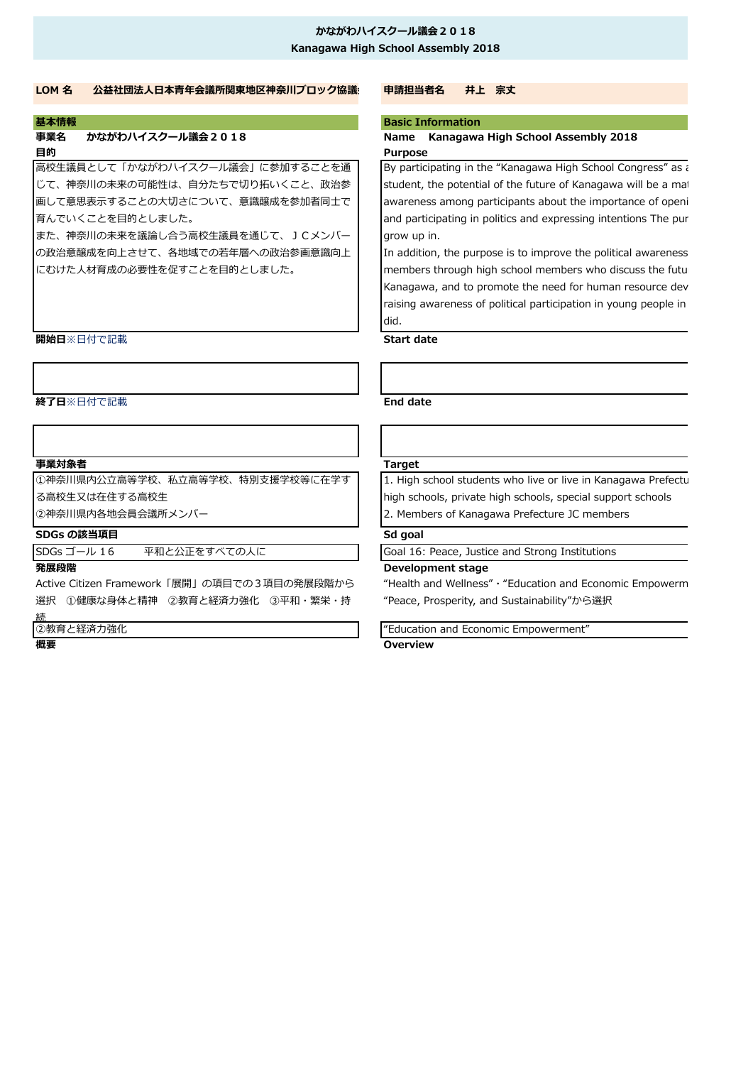### **かながわハイスクール議会2018 Kanagawa High School Assembly 2018**

### **LOM 名 公益社団法人日本青年会議所関東地区神奈川ブロック協議会 申請担当者名 井上 宗丈**

# **目的 Purpose**

高校生議員として「かながわハイスクール議会」に参加することを通 じて、神奈川の未来の可能性は、自分たちで切り拓いくこと、政治参 画して意思表示することの大切さについて、意識醸成を参加者同士で 育んでいくことを目的としました。

また、神奈川の未来を議論し合う高校生議員を通じて、JCメンバー の政治意醸成を向上させて、各地域での若年層への政治参画意識向上 にむけた人材育成の必要性を促すことを目的としました。

### **開始日**※日付で記載 **Start date**

### **終了日**※日付で記載 **End date**

### **事業対象者 Target**

①神奈川県内公立高等学校、私立高等学校、特別支援学校等に在学す

る高校生又は在住する高校生

②神奈川県内各地会員会議所メンバー

### **SDGs の該当項目**

SDGs ゴール 16 平和と公正をすべての人に Goal 16: Peace, Justice and Strong Institutions

Active Citizen Framework「展開」の項目での3項目の発展段階から 選択 ①健康な身体と精神 ②教育と経済力強化 ③平和・繁栄・持 続

②教育と経済力強化

### **基本情報 Basic Information**

# **事業名 かながわハイスクール議会2018 Name Kanagawa High School Assembly 2018**

By participating in the "Kanagawa High School Congress" as a student, the potential of the future of Kanagawa will be a mat awareness among participants about the importance of openi and participating in politics and expressing intentions The pur grow up in.

In addition, the purpose is to improve the political awareness members through high school members who discuss the futul Kanagawa, and to promote the need for human resource dev raising awareness of political participation in young people in did.

1. High school students who live or live in Kanagawa Prefecture high schools, private high schools, special support schools 2. Members of Kanagawa Prefecture JC members

## **Sd goal**

## **発展段階 Development stage**

"Health and Wellness" · "Education and Economic Empowerm "Peace, Prosperity, and Sustainability"から選択

"Education and Economic Empowerment" **概要 Overview**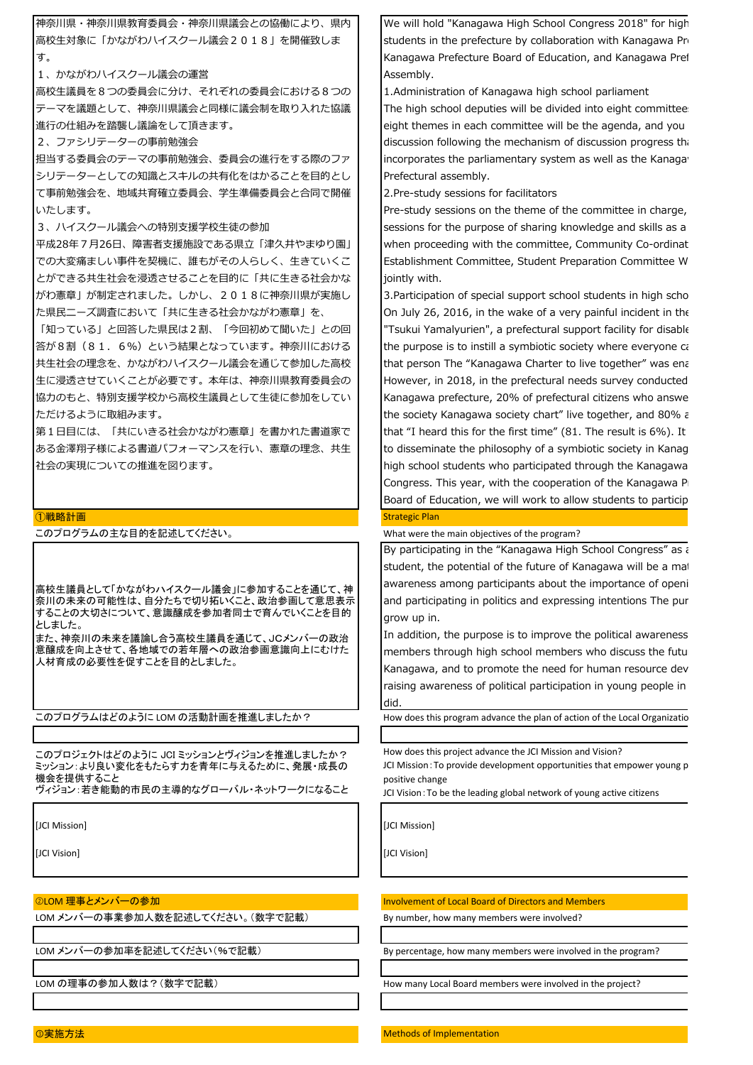

[JCI Mission]

[JCI Vision]

➁LOM 理事とメンバーの参加

LOM メンバーの事業参加人数を記述してください。(数字で記載)

LOM メンバーの参加率を記述してください(%で記載)

We will hold "Kanagawa High School Congress 2018" for high students in the prefecture by collaboration with Kanagawa Pre Kanagawa Prefecture Board of Education, and Kanagawa Pref

1.Administration of Kanagawa high school parliament

The high school deputies will be divided into eight committees eight themes in each committee will be the agenda, and you discussion following the mechanism of discussion progress that incorporates the parliamentary system as well as the Kanaga Prefectural assembly.

2.Pre-study sessions for facilitators

Pre-study sessions on the theme of the committee in charge, sessions for the purpose of sharing knowledge and skills as a when proceeding with the committee, Community Co-ordinat Establishment Committee, Student Preparation Committee W

3.Participation of special support school students in high scho On July 26, 2016, in the wake of a very painful incident in the "Tsukui Yamalyurien", a prefectural support facility for disable the purpose is to instill a symbiotic society where everyone ca that person The "Kanagawa Charter to live together" was ena However, in 2018, in the prefectural needs survey conducted Kanagawa prefecture, 20% of prefectural citizens who answe the society Kanagawa society chart" live together, and 80%  $\epsilon$ that "I heard this for the first time"  $(81.$  The result is 6%). It to disseminate the philosophy of a symbiotic society in Kanag high school students who participated through the Kanagawa Congress. This year, with the cooperation of the Kanagawa P Board of Education, we will work to allow students to particip

What were the main objectives of the program?

By participating in the "Kanagawa High School Congress" as a student, the potential of the future of Kanagawa will be a mat awareness among participants about the importance of openi and participating in politics and expressing intentions The pur

In addition, the purpose is to improve the political awareness members through high school members who discuss the future Kanagawa, and to promote the need for human resource dev raising awareness of political participation in young people in

How does this program advance the plan of action of the Local Organizatio

How does this project advance the JCI Mission and Vision?

JCI Mission: To provide development opportunities that empower young p

JCI Vision: To be the leading global network of young active citizens

[JCI Mission]

[JCI Vision]

Involvement of Local Board of Directors and Members

By number, how many members were involved?

By percentage, how many members were involved in the program?

LOM の理事の参加人数は?(数字で記載) インプレント How many Local Board members were involved in the project?

③実施方法 Methods of Implementation in the Implementation in the Implementation in the Implementation in the Implementation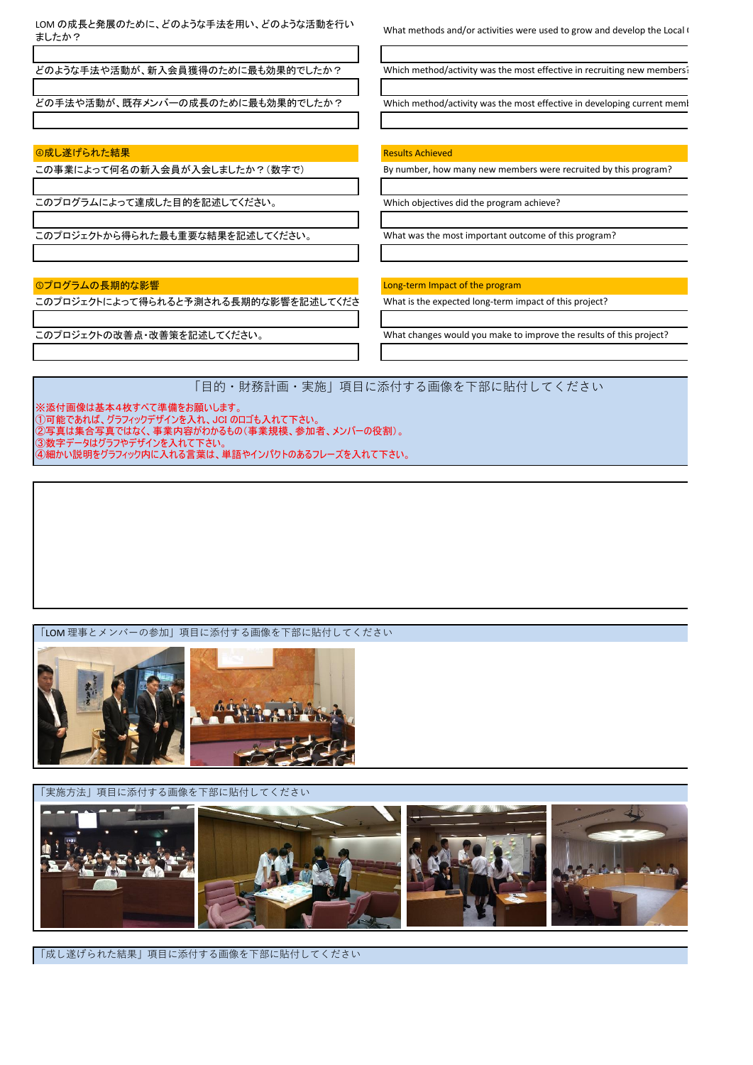「目的・財務計画・実施」項目に添付する画像を下部に貼付してください ※添付画像は基本4枚すべて準備をお願いします。 ①可能であれば、グラフィックデザインを入れ、JCI のロゴも入れて下さい。 LOM の成長と発展のために、どのような手法を用い、どのような活動を行い<br>ましたか? What methods and/or activities were used to grow and develop the Local Organization? このプロジェクトから得られた最も重要な結果を記述してください。 What was the most important outcome of this program? どのような手法や活動が、新入会員獲得のために最も効果的でしたか? Which method/activity was the most effective in recruiting new members? どの手法や活動が、既存メンバーの成長のために最も効果的でしたか? Which method/activity was the most effective in developing current memi **④成し遂げられた結果 Results Achieved** Results Achieved この事業によって何名の新入会員が入会しましたか?(数字で) By number, how many new members were recruited by this program? このプログラムによって達成した目的を記述してください。 Which objectives did the program achieve? **⑥プログラムの長期的な影響 Material Contract of the program** Long-term Impact of the program このプロジェクトによって得られると予測される長期的な影響を記述してください。 What is the expected long-term impact of this project? このプロジェクトの改善点・改善策を記述してください。 what changes would you make to improve the results of this project?

「LOM 理事とメンバーの参加」項目に添付する画像を下部に貼付してください

②写真は集合写真ではなく、事業内容がわかるもの(事業規模、参加者、メンバーの役割)。

④細かい説明をグラフィック内に入れる言葉は、単語やインパクトのあるフレーズを入れて下さい。

③数字データはグラフやデザインを入れて下さい。



「実施方法」項目に添付する画像を下部に貼付してください

「成し遂げられた結果」項目に添付する画像を下部に貼付してください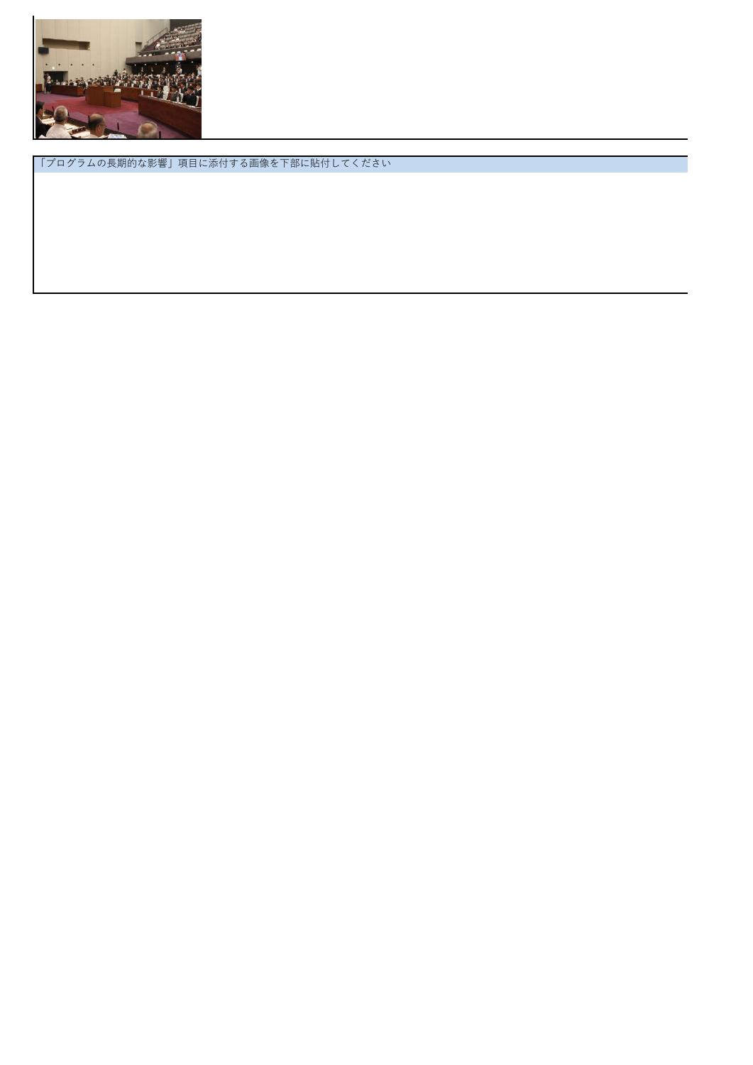

「プログラムの長期的な影響」項目に添付する画像を下部に貼付してください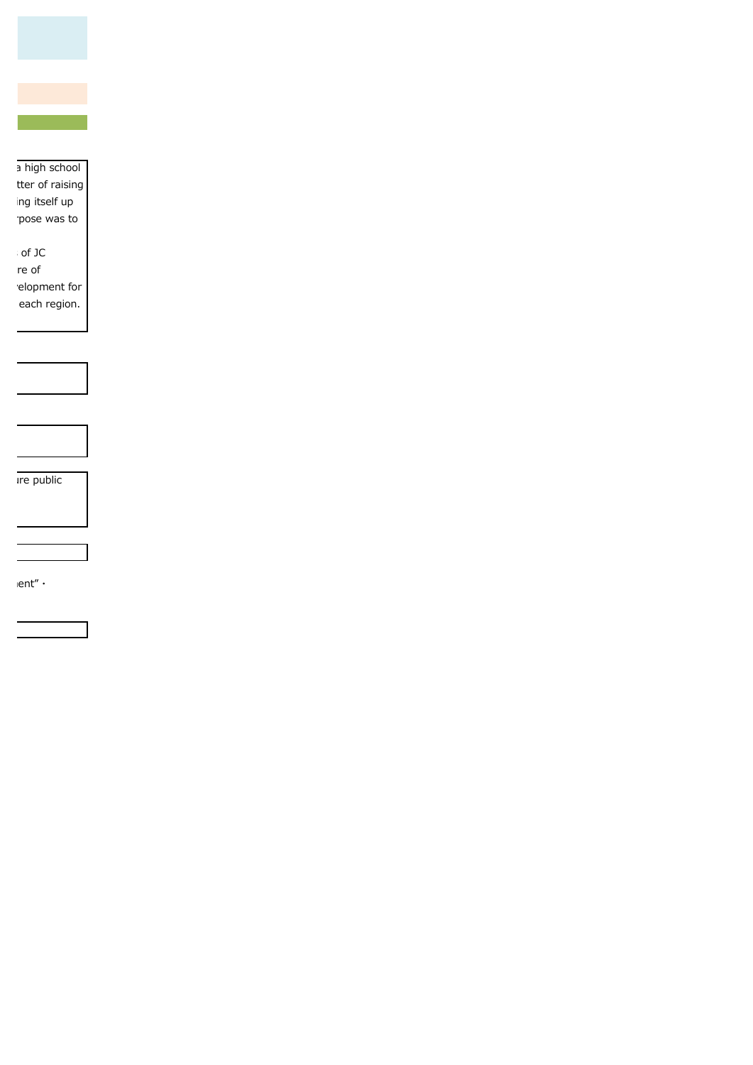

a high school tter of raising ng itself up pose was to

of JC me of elopment for each region.

Ire public

ent" $\cdot$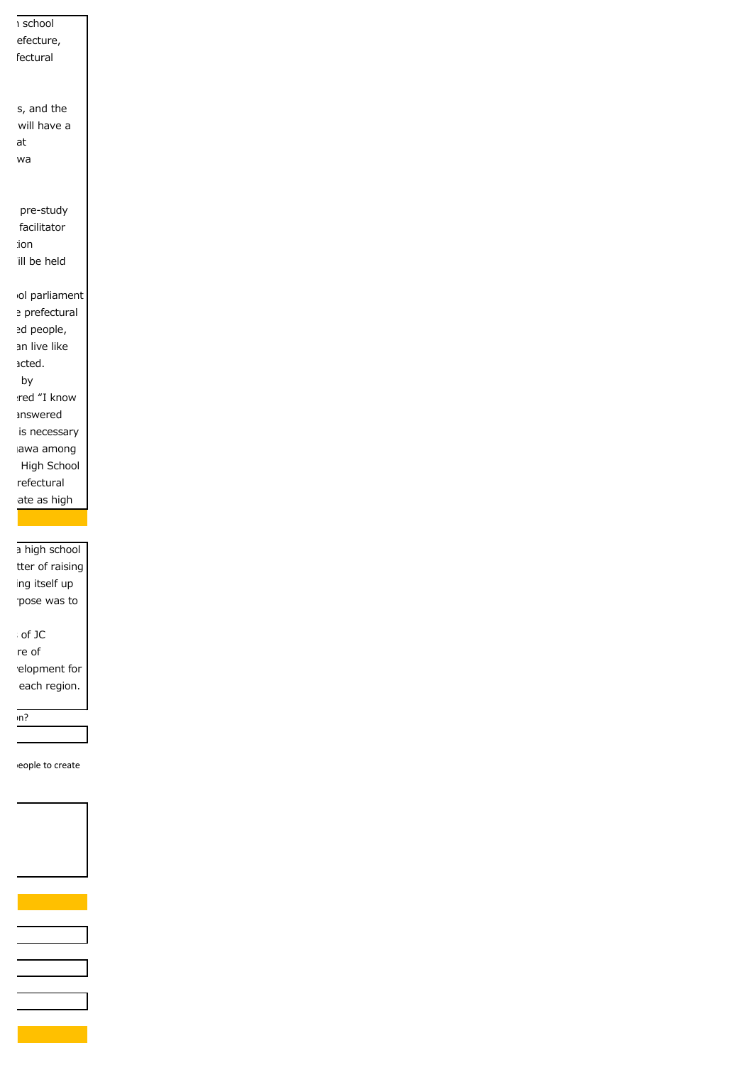$\overline{R}$  i school efecture, fectural s, and the will have a discussion following the mechanism of the mechanism of the mechanism of the mechanism of the mechanism of the <br>Contractorum of the mechanism of the mechanism of the mechanism of the mechanism of the mechanism of the mecha<br> wa pre-study facilitator  $i$ on ill be held ol parliament e prefectural ed people, an live like acted. h by red "I know answered is necessary awa among High School refectural ate as high  $n$  and eople to create a high school tter of raising ng itself up pose was to of JC me of elopment for each region.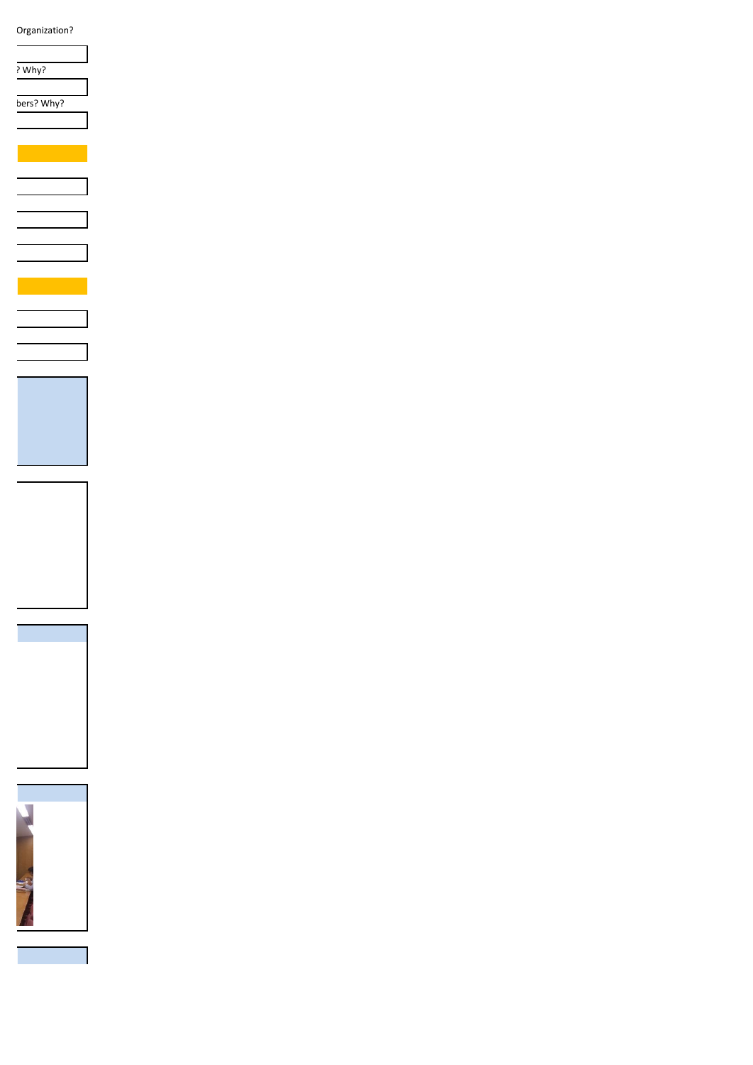Organization?

? Why?

bers? Why?